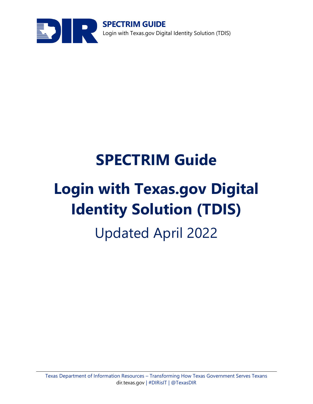

**SPECTRIM GUIDE** Login with Texas.gov Digital Identity Solution (TDIS)

# **SPECTRIM Guide Login with Texas.gov Digital Identity Solution (TDIS)** Updated April 2022

#### Texas Department of Information Resources – Transforming How Texas Government Serves Texans [dir.texas.gov](http://www.dir.texas.gov/) | #DIRisIT | @TexasDIR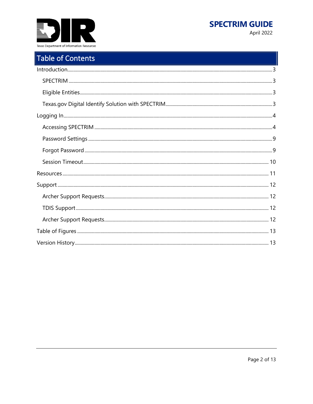



# Table of Contents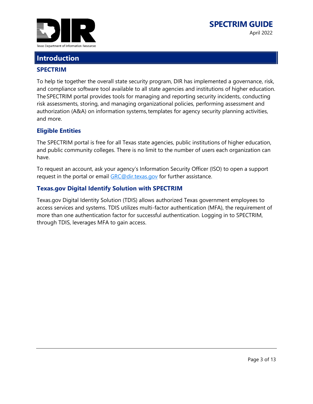

## <span id="page-2-0"></span>**Introduction**

#### <span id="page-2-1"></span>**SPECTRIM**

To help tie together the overall state security program, DIR has implemented a governance, risk, and compliance software tool available to all state agencies and institutions of higher education. The SPECTRIM portal provides tools for managing and reporting security incidents, conducting risk assessments, storing, and managing organizational policies, performing assessment and authorization (A&A) on information systems, templates for agency security planning activities, and more.

#### <span id="page-2-2"></span>**Eligible Entities**

The SPECTRIM portal is free for all Texas state agencies, public institutions of higher education, and public community colleges. There is no limit to the number of users each organization can have. 

To request an account, ask your agency's Information Security Officer (ISO) to open a support request in the portal or email [GRC@dir.texas.gov](mailto:GRC@dir.texas.gov) for further assistance.

#### <span id="page-2-3"></span>**Texas.gov Digital Identify Solution with SPECTRIM**

Texas.gov Digital Identity Solution (TDIS) allows authorized Texas government employees to access services and systems. TDIS utilizes multi-factor authentication (MFA), the requirement of more than one authentication factor for successful authentication. Logging in to SPECTRIM, through TDIS, leverages MFA to gain access.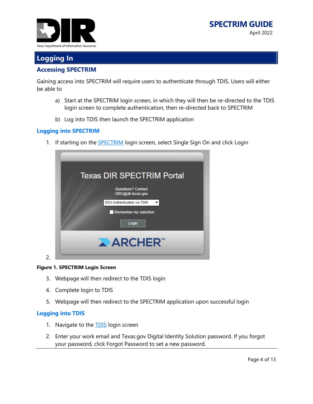



## <span id="page-3-0"></span>**Logging In**

#### <span id="page-3-1"></span>**Accessing SPECTRIM**

Gaining access into SPECTRIM will require users to authenticate through TDIS. Users will either be able to

- a) Start at the SPECTRIM login screen, in which they will then be re-directed to the TDIS login screen to complete authentication, then re-directed back to SPECTRIM
- b) Log into TDIS then launch the SPECTRIM application

#### **Logging into SPECTRIM**

1. If starting on the **SPECTRIM** login screen, select Single Sign On and click Login

| <b>Texas DIR SPECTRIM Portal</b>               |  |  |
|------------------------------------------------|--|--|
| <b>Questions? Contact</b><br>GRC@dir.texas.gov |  |  |
| SSO Authentication via TDIS<br>▼               |  |  |
| Remember my selection                          |  |  |
| Login                                          |  |  |
| <b>ARCHER</b>                                  |  |  |

#### <span id="page-3-2"></span>**Figure 1. SPECTRIM Login Screen**

- 3. Webpage will then redirect to the TDIS login
- 4. Complete login to TDIS
- 5. Webpage will then redirect to the SPECTRIM application upon successful login

#### **Logging into TDIS**

2.

- 1. Navigate to the **TDIS** login screen
- 2. Enter your work email and Texas.gov Digital Identity Solution password. If you forgot your password, click Forgot Password to set a new password.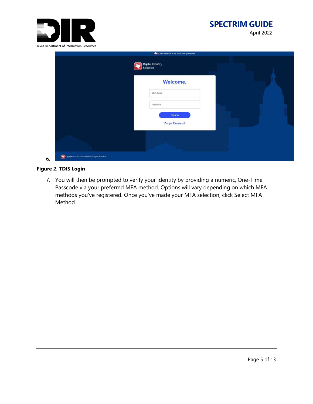

#### **SPECTRIM GUIDE** April 2022

#### <span id="page-4-0"></span>**Figure 2. TDIS Login**

7. You will then be prompted to verify your identity by providing a numeric, One-Time Passcode via your preferred MFA method. Options will vary depending on which MFA methods you've registered. Once you've made your MFA selection, click Select MFA Method.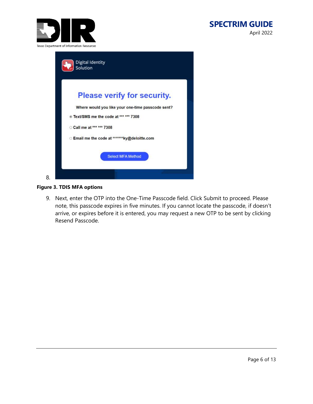

#### **SPECTRIM GUIDE** April 2022

|    | <b>Digital Identity</b><br>Solution               |
|----|---------------------------------------------------|
|    | <b>Please verify for security.</b>                |
|    | Where would you like your one-time passcode sent? |
|    | <b>EXEL'SMS me the code at *** *** 7308</b>       |
|    | Call me at *** *** 7308                           |
|    | Email me the code at *******ky@deloitte.com       |
|    | <b>Select MFA Method</b>                          |
| 8. |                                                   |

#### <span id="page-5-0"></span>**Figure 3. TDIS MFA options**

9. Next, enter the OTP into the One-Time Passcode field. Click Submit to proceed. Please note, this passcode expires in five minutes. If you cannot locate the passcode, if doesn't arrive, or expires before it is entered, you may request a new OTP to be sent by clicking Resend Passcode.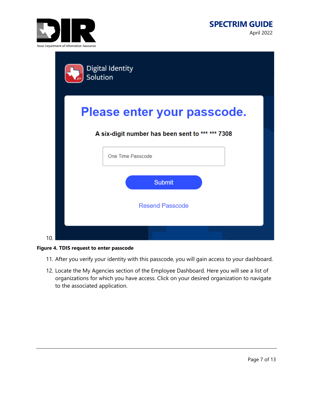

|     | Digital Identity<br>Solution                                                    |  |
|-----|---------------------------------------------------------------------------------|--|
|     | Please enter your passcode.<br>A six-digit number has been sent to *** *** 7308 |  |
|     | One Time Passcode                                                               |  |
|     | <b>Submit</b><br><b>Resend Passcode</b>                                         |  |
| 10. |                                                                                 |  |

<span id="page-6-0"></span>

- 11. After you verify your identity with this passcode, you will gain access to your dashboard.
- 12. Locate the My Agencies section of the Employee Dashboard. Here you will see a list of organizations for which you have access. Click on your desired organization to navigate to the associated application.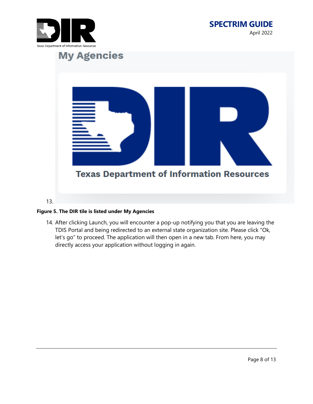





#### <span id="page-7-0"></span>**Figure 5. The DIR tile is listed under My Agencies**

14. After clicking Launch, you will encounter a pop-up notifying you that you are leaving the TDIS Portal and being redirected to an external state organization site. Please click "Ok, let's go" to proceed. The application will then open in a new tab. From here, you may directly access your application without logging in again.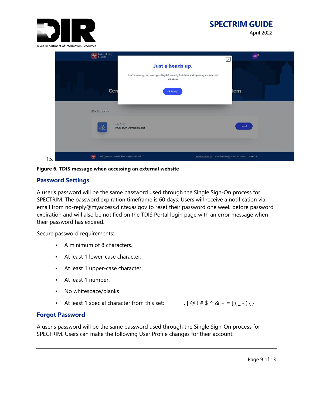

# **SPECTRIM GUIDE**

April 2022



**Figure 6. TDIS message when accessing an external website**

#### <span id="page-8-2"></span><span id="page-8-0"></span>**Password Settings**

A user's password will be the same password used through the Single Sign-On process for SPECTRIM. The password expiration timeframe is 60 days. Users will receive a notification via email from no-reply@myaccess.dir.texas.gov to reset their password one week before password expiration and will also be notified on the TDIS Portal login page with an error message when their password has expired.

Secure password requirements:

- A minimum of 8 characters.
- At least 1 lower-case character.
- At least 1 upper-case character.
- At least 1 number.
- No whitespace/blanks
- At least 1 special character from this set: . [ @ ! # \$ ^ & + = ] ( \_ ) { }

#### <span id="page-8-1"></span>**Forgot Password**

A user's password will be the same password used through the Single Sign-On process for SPECTRIM. Users can make the following User Profile changes for their account: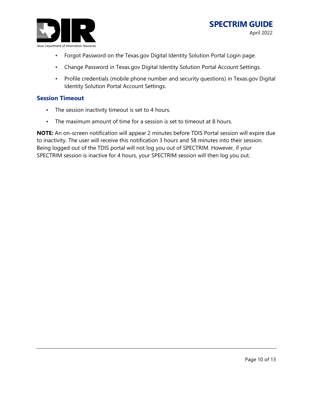

- Forgot Password on the Texas.gov Digital Identity Solution Portal Login page.
- Change Password in Texas.gov Digital Identity Solution Portal Account Settings.
- Profile credentials (mobile phone number and security questions) in Texas.gov Digital Identity Solution Portal Account Settings.

#### <span id="page-9-0"></span>**Session Timeout**

- The session inactivity timeout is set to 4 hours.
- The maximum amount of time for a session is set to timeout at 8 hours.

**NOTE:** An on-screen notification will appear 2 minutes before TDIS Portal session will expire due to inactivity. The user will receive this notification 3 hours and 58 minutes into their session. Being logged out of the TDIS portal will not log you out of SPECTRIM. However, if your SPECTRIM session is inactive for 4 hours, your SPECTRIM session will then log you out.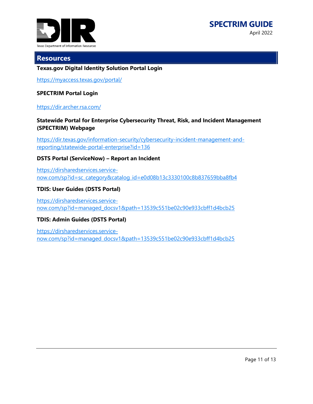

#### <span id="page-10-0"></span>**Resources**

#### **Texas.gov Digital Identity Solution Portal Login**

<https://myaccess.texas.gov/portal/>

#### **SPECTRIM Portal Login**

#### <https://dir.archer.rsa.com/>

#### **Statewide Portal for Enterprise Cybersecurity Threat, Risk, and Incident Management (SPECTRIM) Webpage**

[https://dir.texas.gov/information-security/cybersecurity-incident-management-and](https://dir.texas.gov/information-security/cybersecurity-incident-management-and-reporting/statewide-portal-enterprise?id=136)[reporting/statewide-portal-enterprise?id=136](https://dir.texas.gov/information-security/cybersecurity-incident-management-and-reporting/statewide-portal-enterprise?id=136)

#### **DSTS Portal (ServiceNow) – Report an Incident**

[https://dirsharedservices.service](https://dirsharedservices.service-now.com/sp?id=sc_category&catalog_id=e0d08b13c3330100c8b837659bba8fb4)[now.com/sp?id=sc\\_category&catalog\\_id=e0d08b13c3330100c8b837659bba8fb4](https://dirsharedservices.service-now.com/sp?id=sc_category&catalog_id=e0d08b13c3330100c8b837659bba8fb4)

#### **TDIS: User Guides (DSTS Portal)**

[https://dirsharedservices.service](https://dirsharedservices.service-now.com/sp?id=managed_docsv1&path=13539c551be02c90e933cbff1d4bcb25)[now.com/sp?id=managed\\_docsv1&path=13539c551be02c90e933cbff1d4bcb25](https://dirsharedservices.service-now.com/sp?id=managed_docsv1&path=13539c551be02c90e933cbff1d4bcb25)

#### **TDIS: Admin Guides (DSTS Portal)**

[https://dirsharedservices.service](https://dirsharedservices.service-now.com/sp?id=managed_docsv1&path=13539c551be02c90e933cbff1d4bcb25)[now.com/sp?id=managed\\_docsv1&path=13539c551be02c90e933cbff1d4bcb25](https://dirsharedservices.service-now.com/sp?id=managed_docsv1&path=13539c551be02c90e933cbff1d4bcb25)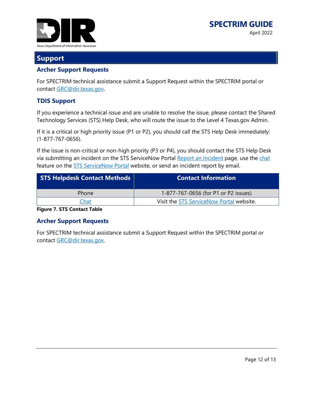

### <span id="page-11-0"></span>**Support**

#### <span id="page-11-1"></span>**Archer Support Requests**

For SPECTRIM technical assistance submit a Support Request within the SPECTRIM portal or contact [GRC@dir.texas.gov.](mailto:GRC@dir.texas.gov)

#### <span id="page-11-2"></span>**TDIS Support**

If you experience a technical issue and are unable to resolve the issue, please contact the Shared Technology Services (STS) Help Desk, who will route the issue to the Level 4 Texas.gov Admin.

If it is a critical or high priority issue (P1 or P2), you should call the STS Help Desk immediately: (1-877-767-0656).

If the issue is non-critical or non-high priority (P3 or P4), you should contact the STS Help Desk via submitting an incident on the STS ServiceNow Portal [Report an Incident](https://dirsharedservices.service-now.com/sp?id=sc_cat_item&sys_id=3f1dd0320a0a0b99000a53f7604a2ef9) page, use the [chat](https://capgemini-us.prod.amelia.com/Amelia/ui/sot/chat?txt=Just%20a%20momentxXcommaXx%20we%20are%20launching%20your%20Virtual%20Assistant&as=stateoftexasSAMLprod&domainCode=sot_en_itsd&hint=Type%20your%20message%20here&language=en&embed=iframe&txtClr=FFFFFF&ldrBg=003951) feature on the **STS ServiceNow Portal** website, or send an incident report by email.

| <b>STS Helpdesk Contact Methods</b> | <b>Contact Information</b>               |
|-------------------------------------|------------------------------------------|
| Phone                               | 1-877-767-0656 (for P1 or P2 issues)     |
| Chat                                | Visit the STS ServiceNow Portal website. |
| --<br>.                             |                                          |

<span id="page-11-4"></span>**Figure 7. STS Contact Table**

#### <span id="page-11-3"></span>**Archer Support Requests**

For SPECTRIM technical assistance submit a Support Request within the SPECTRIM portal or contact [GRC@dir.texas.gov.](mailto:GRC@dir.texas.gov)